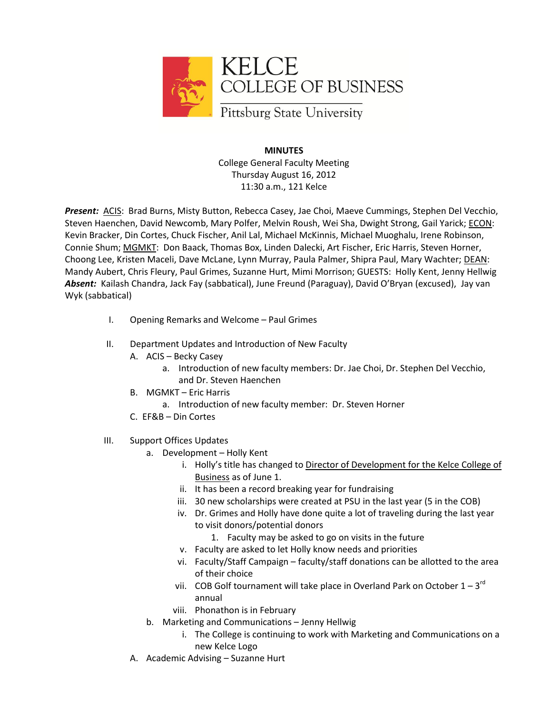

**MINUTES** College General Faculty Meeting Thursday August 16, 2012 11:30 a.m., 121 Kelce

*Present:* ACIS: Brad Burns, Misty Button, Rebecca Casey, Jae Choi, Maeve Cummings, Stephen Del Vecchio, Steven Haenchen, David Newcomb, Mary Polfer, Melvin Roush, Wei Sha, Dwight Strong, Gail Yarick; ECON: Kevin Bracker, Din Cortes, Chuck Fischer, Anil Lal, Michael McKinnis, Michael Muoghalu, Irene Robinson, Connie Shum; MGMKT: Don Baack, Thomas Box, Linden Dalecki, Art Fischer, Eric Harris, Steven Horner, Choong Lee, Kristen Maceli, Dave McLane, Lynn Murray, Paula Palmer, Shipra Paul, Mary Wachter; DEAN: Mandy Aubert, Chris Fleury, Paul Grimes, Suzanne Hurt, Mimi Morrison; GUESTS: Holly Kent, Jenny Hellwig *Absent:* Kailash Chandra, Jack Fay (sabbatical), June Freund (Paraguay), David O'Bryan (excused), Jay van Wyk (sabbatical)

- I. Opening Remarks and Welcome Paul Grimes
- II. Department Updates and Introduction of New Faculty
	- A. ACIS Becky Casey
		- a. Introduction of new faculty members: Dr. Jae Choi, Dr. Stephen Del Vecchio, and Dr. Steven Haenchen
	- B. MGMKT Eric Harris
		- a. Introduction of new faculty member: Dr. Steven Horner
	- C. EF&B Din Cortes
- III. Support Offices Updates
	- a. Development Holly Kent
		- i. Holly's title has changed to Director of Development for the Kelce College of Business as of June 1.
		- ii. It has been a record breaking year for fundraising
		- iii. 30 new scholarships were created at PSU in the last year (5 in the COB)
		- iv. Dr. Grimes and Holly have done quite a lot of traveling during the last year to visit donors/potential donors
			- 1. Faculty may be asked to go on visits in the future
		- v. Faculty are asked to let Holly know needs and priorities
		- vi. Faculty/Staff Campaign faculty/staff donations can be allotted to the area of their choice
		- vii. COB Golf tournament will take place in Overland Park on October  $1-3^{rd}$ annual
		- viii. Phonathon is in February
	- b. Marketing and Communications Jenny Hellwig
		- i. The College is continuing to work with Marketing and Communications on a new Kelce Logo
	- A. Academic Advising Suzanne Hurt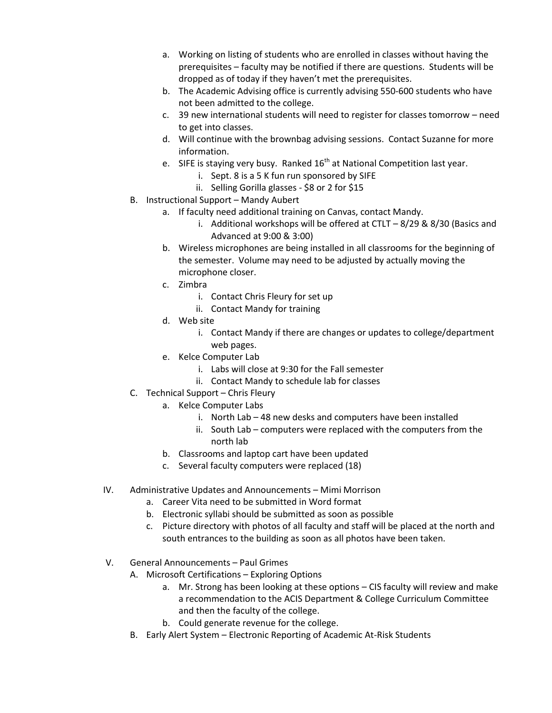- a. Working on listing of students who are enrolled in classes without having the prerequisites – faculty may be notified if there are questions. Students will be dropped as of today if they haven't met the prerequisites.
- b. The Academic Advising office is currently advising 550-600 students who have not been admitted to the college.
- c. 39 new international students will need to register for classes tomorrow need to get into classes.
- d. Will continue with the brownbag advising sessions. Contact Suzanne for more information.
- e. SIFE is staying very busy. Ranked  $16<sup>th</sup>$  at National Competition last year.
	- i. Sept. 8 is a 5 K fun run sponsored by SIFE
		- ii. Selling Gorilla glasses \$8 or 2 for \$15
- B. Instructional Support Mandy Aubert
	- a. If faculty need additional training on Canvas, contact Mandy.
		- i. Additional workshops will be offered at CTLT  $-8/29$  & 8/30 (Basics and Advanced at 9:00 & 3:00)
	- b. Wireless microphones are being installed in all classrooms for the beginning of the semester. Volume may need to be adjusted by actually moving the microphone closer.
	- c. Zimbra
		- i. Contact Chris Fleury for set up
		- ii. Contact Mandy for training
	- d. Web site
		- i. Contact Mandy if there are changes or updates to college/department web pages.
	- e. Kelce Computer Lab
		- i. Labs will close at 9:30 for the Fall semester
		- ii. Contact Mandy to schedule lab for classes
- C. Technical Support Chris Fleury
	- a. Kelce Computer Labs
		- i. North Lab 48 new desks and computers have been installed
		- ii. South Lab computers were replaced with the computers from the north lab
	- b. Classrooms and laptop cart have been updated
	- c. Several faculty computers were replaced (18)
- IV. Administrative Updates and Announcements Mimi Morrison
	- a. Career Vita need to be submitted in Word format
	- b. Electronic syllabi should be submitted as soon as possible
	- c. Picture directory with photos of all faculty and staff will be placed at the north and south entrances to the building as soon as all photos have been taken.
- V. General Announcements Paul Grimes
	- A. Microsoft Certifications Exploring Options
		- a. Mr. Strong has been looking at these options CIS faculty will review and make a recommendation to the ACIS Department & College Curriculum Committee and then the faculty of the college.
		- b. Could generate revenue for the college.
	- B. Early Alert System Electronic Reporting of Academic At-Risk Students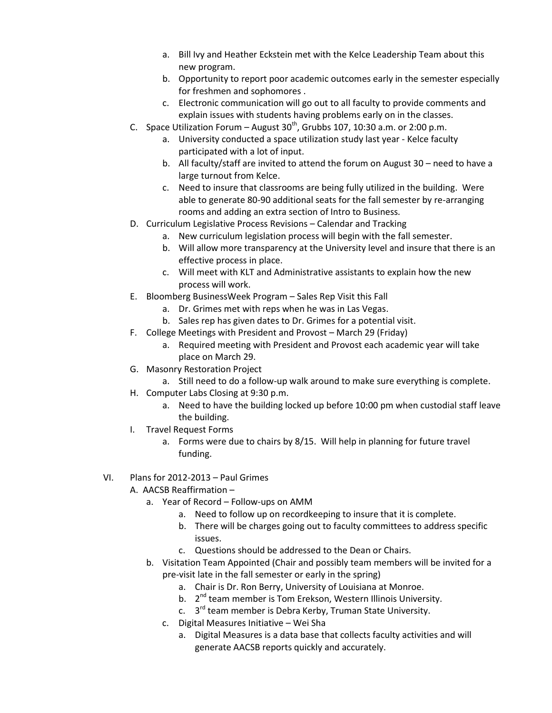- a. Bill Ivy and Heather Eckstein met with the Kelce Leadership Team about this new program.
- b. Opportunity to report poor academic outcomes early in the semester especially for freshmen and sophomores .
- c. Electronic communication will go out to all faculty to provide comments and explain issues with students having problems early on in the classes.
- C. Space Utilization Forum August  $30<sup>th</sup>$ , Grubbs 107, 10:30 a.m. or 2:00 p.m.
	- a. University conducted a space utilization study last year Kelce faculty participated with a lot of input.
	- b. All faculty/staff are invited to attend the forum on August 30 need to have a large turnout from Kelce.
	- c. Need to insure that classrooms are being fully utilized in the building. Were able to generate 80-90 additional seats for the fall semester by re-arranging rooms and adding an extra section of Intro to Business.
- D. Curriculum Legislative Process Revisions Calendar and Tracking
	- a. New curriculum legislation process will begin with the fall semester.
	- b. Will allow more transparency at the University level and insure that there is an effective process in place.
	- c. Will meet with KLT and Administrative assistants to explain how the new process will work.
- E. Bloomberg BusinessWeek Program Sales Rep Visit this Fall
	- a. Dr. Grimes met with reps when he was in Las Vegas.
	- b. Sales rep has given dates to Dr. Grimes for a potential visit.
- F. College Meetings with President and Provost March 29 (Friday)
	- a. Required meeting with President and Provost each academic year will take place on March 29.
- G. Masonry Restoration Project
	- a. Still need to do a follow-up walk around to make sure everything is complete.
- H. Computer Labs Closing at 9:30 p.m.
	- a. Need to have the building locked up before 10:00 pm when custodial staff leave the building.
- I. Travel Request Forms
	- a. Forms were due to chairs by 8/15. Will help in planning for future travel funding.
- VI. Plans for 2012-2013 Paul Grimes
	- A. AACSB Reaffirmation
		- a. Year of Record Follow-ups on AMM
			- a. Need to follow up on recordkeeping to insure that it is complete.
			- b. There will be charges going out to faculty committees to address specific issues.
			- c. Questions should be addressed to the Dean or Chairs.
		- b. Visitation Team Appointed (Chair and possibly team members will be invited for a pre-visit late in the fall semester or early in the spring)
			- a. Chair is Dr. Ron Berry, University of Louisiana at Monroe.
			- b. 2<sup>nd</sup> team member is Tom Erekson, Western Illinois University.
			- c. 3<sup>rd</sup> team member is Debra Kerby, Truman State University.
			- c. Digital Measures Initiative Wei Sha
				- a. Digital Measures is a data base that collects faculty activities and will generate AACSB reports quickly and accurately.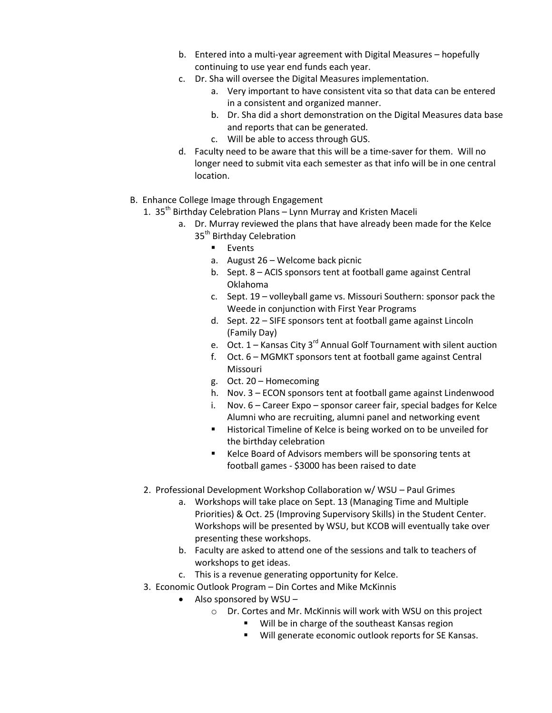- b. Entered into a multi-year agreement with Digital Measures hopefully continuing to use year end funds each year.
- c. Dr. Sha will oversee the Digital Measures implementation.
	- a. Very important to have consistent vita so that data can be entered in a consistent and organized manner.
	- b. Dr. Sha did a short demonstration on the Digital Measures data base and reports that can be generated.
	- c. Will be able to access through GUS.
- d. Faculty need to be aware that this will be a time-saver for them. Will no longer need to submit vita each semester as that info will be in one central location.
- B. Enhance College Image through Engagement
	- 1.  $35<sup>th</sup>$  Birthday Celebration Plans Lynn Murray and Kristen Maceli
		- a. Dr. Murray reviewed the plans that have already been made for the Kelce 35<sup>th</sup> Birthday Celebration
			- **Events**
			- a. August 26 Welcome back picnic
			- b. Sept. 8 ACIS sponsors tent at football game against Central Oklahoma
			- c. Sept. 19 volleyball game vs. Missouri Southern: sponsor pack the Weede in conjunction with First Year Programs
			- d. Sept. 22 SIFE sponsors tent at football game against Lincoln (Family Day)
			- e. Oct.  $1 -$  Kansas City 3<sup>rd</sup> Annual Golf Tournament with silent auction
			- f. Oct. 6 MGMKT sponsors tent at football game against Central Missouri
			- g. Oct. 20 Homecoming
			- h. Nov. 3 ECON sponsors tent at football game against Lindenwood
			- i. Nov. 6 Career Expo sponsor career fair, special badges for Kelce Alumni who are recruiting, alumni panel and networking event
			- **Historical Timeline of Kelce is being worked on to be unveiled for** the birthday celebration
			- Kelce Board of Advisors members will be sponsoring tents at football games - \$3000 has been raised to date
	- 2. Professional Development Workshop Collaboration w/ WSU Paul Grimes
		- a. Workshops will take place on Sept. 13 (Managing Time and Multiple Priorities) & Oct. 25 (Improving Supervisory Skills) in the Student Center. Workshops will be presented by WSU, but KCOB will eventually take over presenting these workshops.
		- b. Faculty are asked to attend one of the sessions and talk to teachers of workshops to get ideas.
		- c. This is a revenue generating opportunity for Kelce.
	- 3. Economic Outlook Program Din Cortes and Mike McKinnis
		- Also sponsored by WSU
			- o Dr. Cortes and Mr. McKinnis will work with WSU on this project
				- **Will be in charge of the southeast Kansas region**
				- **Will generate economic outlook reports for SE Kansas.**